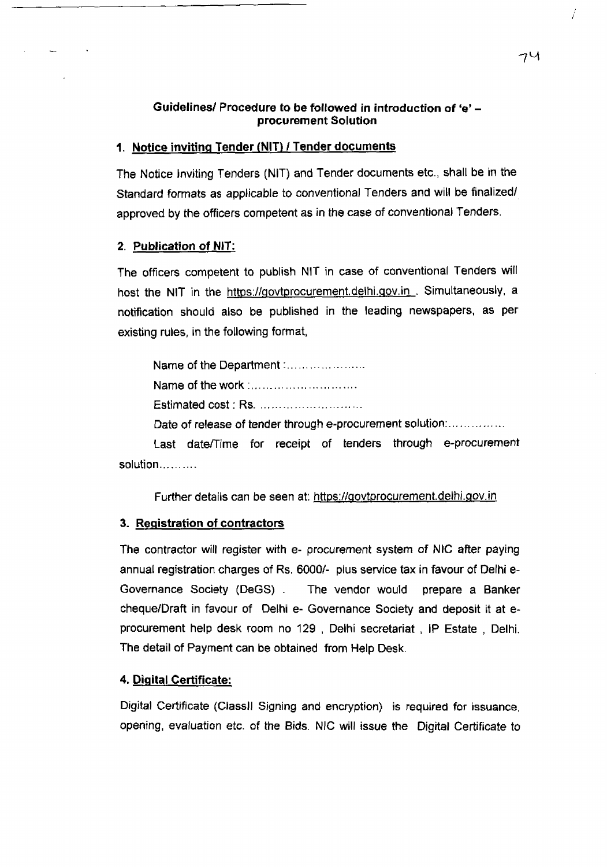## **Guidelines/ Procedure to be followed in introduction of 'e' procurement Solution**

## **1. Notice inviting Tender fNIT) / Tender documents**

The Notice Inviting Tenders (NIT) and Tender documents etc., shall be in the Standard formats as applicable to conventional Tenders and will be finalized/ approved by the officers competent as in the case of conventional Tenders.

#### **2. Publication of NIT:**

The officers competent to publish NIT in case of conventional Tenders will host the NIT in the https://govtprocurement.delhi.gov.in . Simultaneously, a notification should also be published in the leading newspapers, as per existing rules, in the following format,

Name of the Department:........................ Name of the work :................................. Estimated cost: Rs. .............................. Date of release of tender through e-procurement solution:................

Last date/Time for receipt of tenders through e-procurement solution...........

Further details can be seen at: https://govtprocurement.delhi.gov.in

#### **3. Registration of contractors**

The contractor will register with e- procurement system of NIC after paying annual registration charges of Rs. 6000/- plus service tax in favour of Delhi e-Governance Society (DeGS) . The vendor would prepare a Banker cheque/Draft in favour of Delhi e- Governance Society and deposit it at eprocurement help desk room no 129 , Delhi secretariat , IP Estate , Delhi. The detail of Payment can be obtained from Help Desk.

#### **4. Digital Certificate:**

Digital Certificate (Classll Signing and encryption) is required for issuance, opening, evaluation etc. of the Bids. NIC will issue the Digital Certificate to Í

74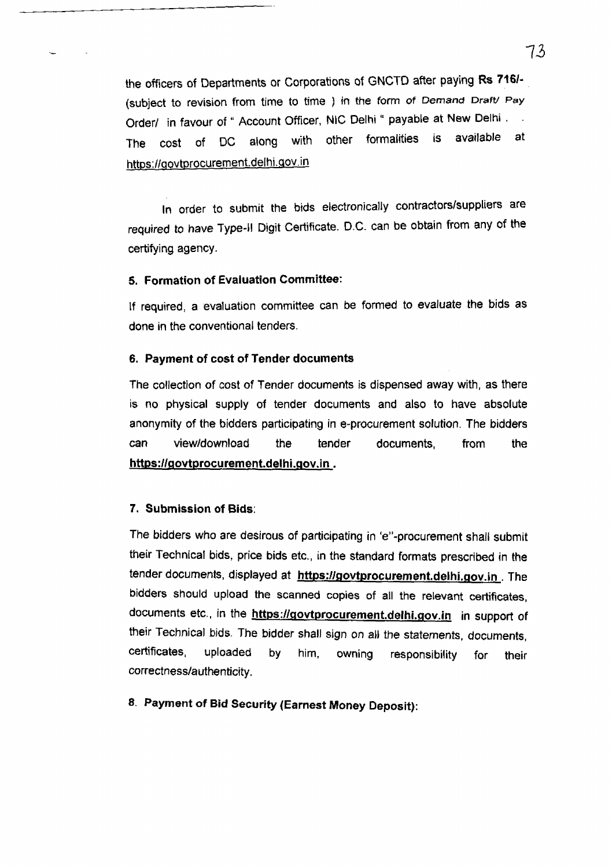the officers of Departments or Corporations of GNCTD after paying Rs 716/- (subject to revision from time to time ) in the form of *Demand Draft*/ Pay Order/ in favour of " Account Officer, NIC Delhi " payable at New Delhi . The cost of DC along with other formalities is available at https://aovtprocurement.delhi. gov, in

In order to submit the bids electronically contractors/suppliers are required to have Type-II Digit Certificate. D.C. can be obtain from any of the certifying agency.

## 5. Formation of Evaluation Committee:

If required, a evaluation committee can be formed to evaluate the bids as done in the conventional tenders.

#### 6. Payment of cost of Tender documents

The collection of cost of Tender documents is dispensed away with, as there is no physical supply of tender documents and also to have absolute anonymity of the bidders participating in e-procurement solution. The bidders can view/download the tender documents, from the https://govtprocurement.delhi.gov.in.

#### 7. Submission of Bids:

The bidders who are desirous of participating in 'e"-procurement shall submit their Technical bids, price bids etc., in the standard formats prescribed in the tender documents, displayed at https://govtprocurement.delhi.gov.in. The bidders should upload the scanned copies of all the relevant certificates, documents etc., in the https://govtprocurement.delhi.gov.in in support of their Technical bids. The bidder shall sign on ail the statements, documents, certificates, uploaded by him, owning responsibility for their correctness/authenticity.

# **8. Payment of Bid Security (Earnest Money Deposit):**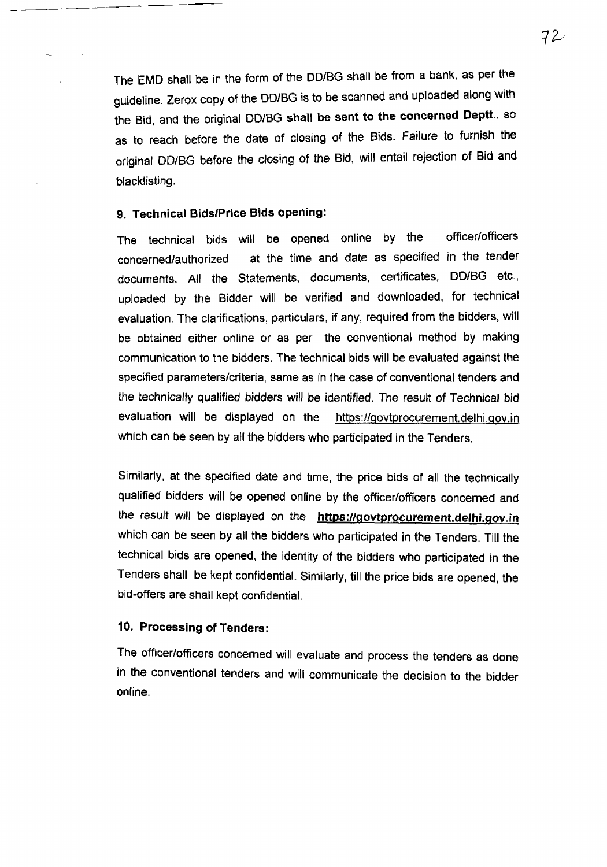The EMD shall be in the form of the DD/BG shall be from a bank, as per the guideline. Zerox copy of the DD/BG is to be scanned and uploaded along with the Bid, and the original DD/BG shall be sent to the concerned Deptt., so as to reach before the date of closing of the Bids. Failure to furnish the original DD/BG before the closing of the Bid, will entail rejection of Bid and blacklisting.

# 9, Technical Bids/Price Bids opening:

The technical bids will be opened online by the officer/officers concerned/authorized at the time and date as specified in the tender documents. All the Statements, documents, certificates, DD/BG etc., uploaded by the Bidder will be verified and downloaded, for technical evaluation. The clarifications, particulars, if any, required from the bidders, will be obtained either online or as per the conventional method by making communication to the bidders. The technical bids will be evaluated against the specified parameters/criteria, same as in the case of conventional tenders and the technically qualified bidders will be identified. The result of Technical bid evaluation will be displayed on the https://qovtprocurement.delhi.Qov.in which can be seen by all the bidders who participated in the Tenders.

Similarly, at the specified date and time, the price bids of all the technically qualified bidders will be opened online by the officer/officers concerned and the result will be displayed on the https://govtprocurement.delhi.gov.in which can be seen by all the bidders who participated in the Tenders. Till the technical bids are opened, the identity of the bidders who participated in the Tenders shall be kept confidential. Similarly, till the price bids are opened, the bid-offers are shall kept confidential.

#### 10. Processing of Tenders:

The officer/officers concerned will evaluate and process the tenders as done in the conventional tenders and will communicate the decision to the bidder online.